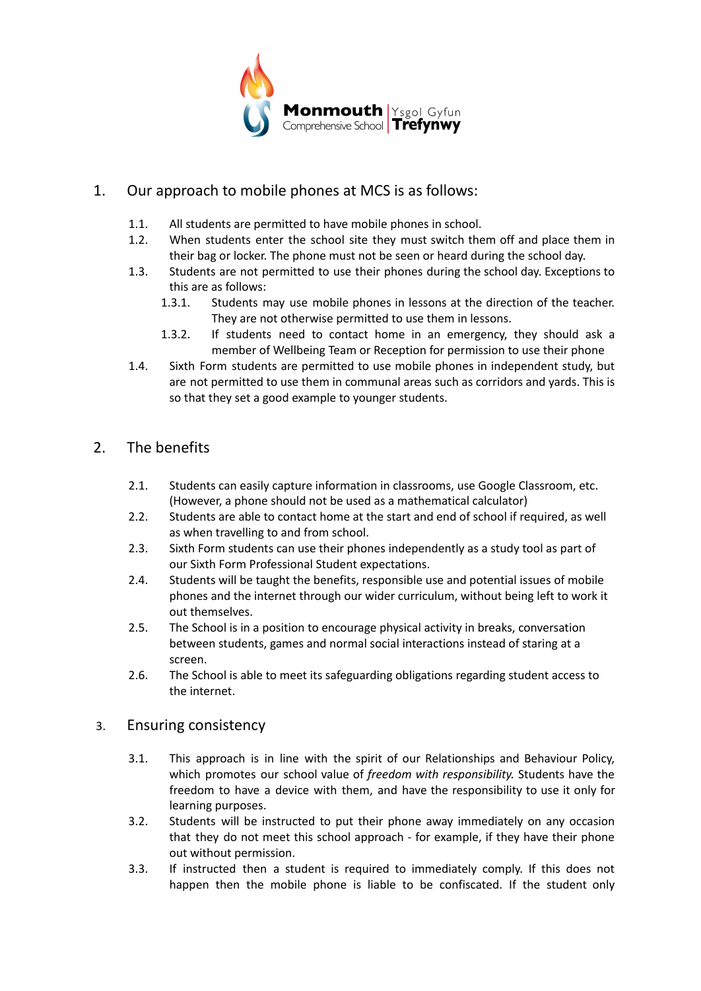

## 1. Our approach to mobile phones at MCS is as follows:

- 1.1. All students are permitted to have mobile phones in school.
- 1.2. When students enter the school site they must switch them off and place them in their bag or locker. The phone must not be seen or heard during the school day.
- 1.3. Students are not permitted to use their phones during the school day. Exceptions to this are as follows:
	- 1.3.1. Students may use mobile phones in lessons at the direction of the teacher. They are not otherwise permitted to use them in lessons.
	- 1.3.2. If students need to contact home in an emergency, they should ask a member of Wellbeing Team or Reception for permission to use their phone
- 1.4. Sixth Form students are permitted to use mobile phones in independent study, but are not permitted to use them in communal areas such as corridors and yards. This is so that they set a good example to younger students.

## 2. The benefits

- 2.1. Students can easily capture information in classrooms, use Google Classroom, etc. (However, a phone should not be used as a mathematical calculator)
- 2.2. Students are able to contact home at the start and end of school if required, as well as when travelling to and from school.
- 2.3. Sixth Form students can use their phones independently as a study tool as part of our Sixth Form Professional Student expectations.
- 2.4. Students will be taught the benefits, responsible use and potential issues of mobile phones and the internet through our wider curriculum, without being left to work it out themselves.
- 2.5. The School is in a position to encourage physical activity in breaks, conversation between students, games and normal social interactions instead of staring at a screen.
- 2.6. The School is able to meet its safeguarding obligations regarding student access to the internet.

## 3. Ensuring consistency

- 3.1. This approach is in line with the spirit of our Relationships and Behaviour Policy, which promotes our school value of *freedom with responsibility.* Students have the freedom to have a device with them, and have the responsibility to use it only for learning purposes.
- 3.2. Students will be instructed to put their phone away immediately on any occasion that they do not meet this school approach - for example, if they have their phone out without permission.
- 3.3. If instructed then a student is required to immediately comply. If this does not happen then the mobile phone is liable to be confiscated. If the student only